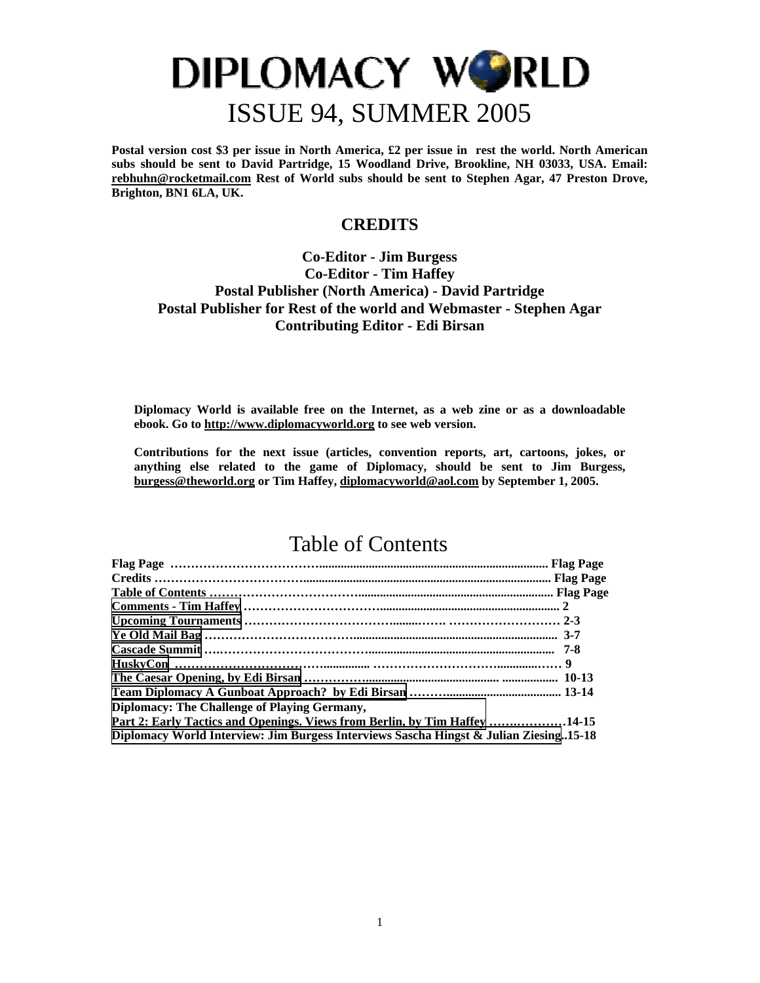**Postal version cost \$3 per issue in North America, £2 per issue in rest the world. North American subs should be sent to David Partridge, 15 Woodland Drive, Brookline, NH 03033, USA. Email: [rebhuhn@rocketmail.com](mailto:rebhuhn@rocketmail.com) Rest of World subs should be sent to Stephen Agar, 47 Preston Drove, Brighton, BN1 6LA, UK.** 

### **CREDITS**

### **Co-Editor - Jim Burgess Co-Editor - Tim Haffey Postal Publisher (North America) - David Partridge Postal Publisher for Rest of the world and Webmaster - Stephen Agar Contributing Editor - Edi Birsan**

**Diplomacy World is available free on the Internet, as a web zine or as a downloadable ebook. Go to [http://www.diplomacyworld.org](http://www.diplomacyworld.org/) to see web version.** 

**Contributions for the next issue (articles, convention reports, art, cartoons, jokes, or anything else related to the game of Diplomacy, should be sent to Jim Burgess, [burgess@theworld.org](mailto:burgess@theworld.org) or Tim Haffey, [diplomacyworld@aol.com](mailto:diplomacyworld@aol.com) by September 1, 2005.** 

### Table of Contents

| Diplomacy: The Challenge of Playing Germany,                                          |  |
|---------------------------------------------------------------------------------------|--|
| Part 2: Early Tactics and Openings. Views from Berlin, by Tim Haffey 14-15            |  |
| Diplomacy World Interview: Jim Burgess Interviews Sascha Hingst & Julian Ziesing15-18 |  |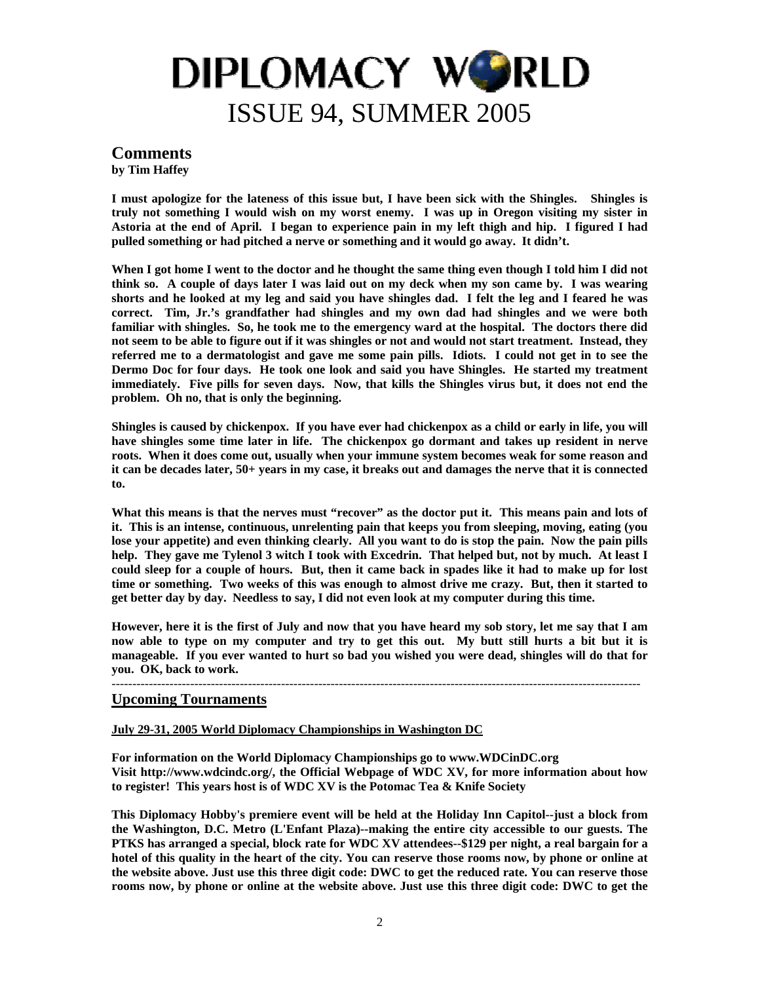### <span id="page-1-0"></span>**Comments**

**by Tim Haffey** 

**I must apologize for the lateness of this issue but, I have been sick with the Shingles. Shingles is truly not something I would wish on my worst enemy. I was up in Oregon visiting my sister in Astoria at the end of April. I began to experience pain in my left thigh and hip. I figured I had pulled something or had pitched a nerve or something and it would go away. It didn't.** 

**When I got home I went to the doctor and he thought the same thing even though I told him I did not think so. A couple of days later I was laid out on my deck when my son came by. I was wearing shorts and he looked at my leg and said you have shingles dad. I felt the leg and I feared he was correct. Tim, Jr.'s grandfather had shingles and my own dad had shingles and we were both familiar with shingles. So, he took me to the emergency ward at the hospital. The doctors there did not seem to be able to figure out if it was shingles or not and would not start treatment. Instead, they referred me to a dermatologist and gave me some pain pills. Idiots. I could not get in to see the Dermo Doc for four days. He took one look and said you have Shingles. He started my treatment immediately. Five pills for seven days. Now, that kills the Shingles virus but, it does not end the problem. Oh no, that is only the beginning.** 

**Shingles is caused by chickenpox. If you have ever had chickenpox as a child or early in life, you will have shingles some time later in life. The chickenpox go dormant and takes up resident in nerve roots. When it does come out, usually when your immune system becomes weak for some reason and it can be decades later, 50+ years in my case, it breaks out and damages the nerve that it is connected to.** 

What this means is that the nerves must "recover" as the doctor put it. This means pain and lots of **it. This is an intense, continuous, unrelenting pain that keeps you from sleeping, moving, eating (you lose your appetite) and even thinking clearly. All you want to do is stop the pain. Now the pain pills help. They gave me Tylenol 3 witch I took with Excedrin. That helped but, not by much. At least I could sleep for a couple of hours. But, then it came back in spades like it had to make up for lost time or something. Two weeks of this was enough to almost drive me crazy. But, then it started to get better day by day. Needless to say, I did not even look at my computer during this time.** 

**However, here it is the first of July and now that you have heard my sob story, let me say that I am now able to type on my computer and try to get this out. My butt still hurts a bit but it is manageable. If you ever wanted to hurt so bad you wished you were dead, shingles will do that for you. OK, back to work.** 

#### --------------------------------------------------------------------------------------------------------------------------------

### **Upcoming Tournaments**

#### **July 29-31, 2005 World Diplomacy Championships in Washington DC**

**For information on the World Diplomacy Championships go to www.WDCinDC.org Visit http://www.wdcindc.org/, the Official Webpage of WDC XV, for more information about how to register! This years host is of WDC XV is the Potomac Tea & Knife Society** 

**This Diplomacy Hobby's premiere event will be held at the Holiday Inn Capitol--just a block from the Washington, D.C. Metro (L'Enfant Plaza)--making the entire city accessible to our guests. The PTKS has arranged a special, block rate for WDC XV attendees--\$129 per night, a real bargain for a hotel of this quality in the heart of the city. You can reserve those rooms now, by phone or online at the website above. Just use this three digit code: DWC to get the reduced rate. You can reserve those rooms now, by phone or online at the website above. Just use this three digit code: DWC to get the**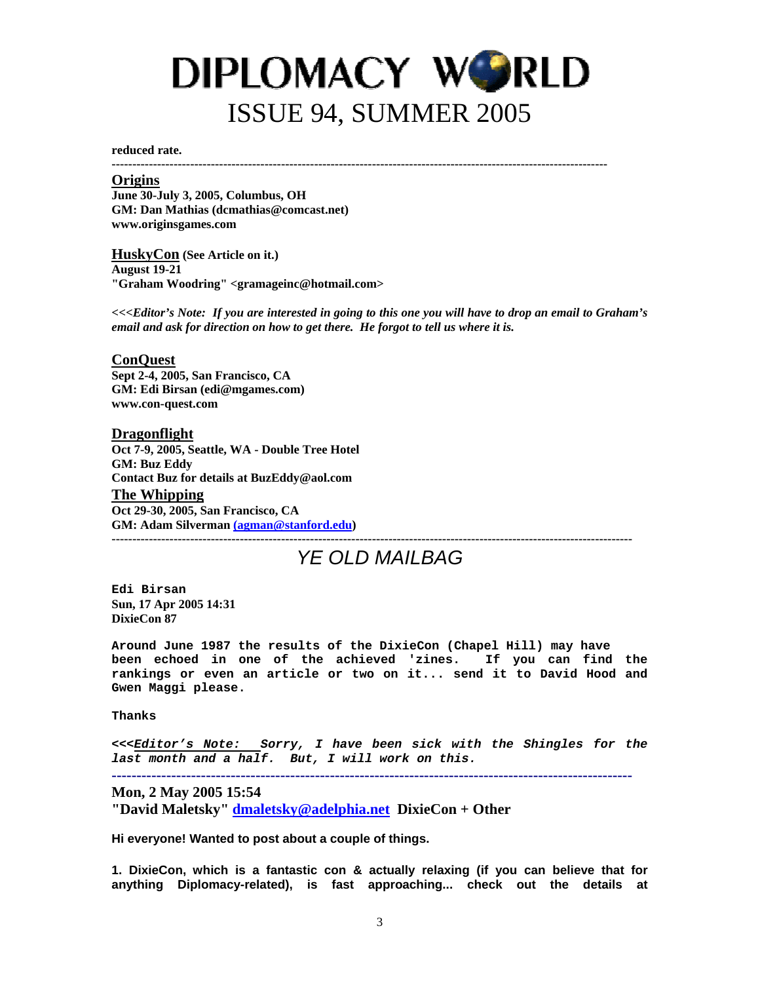<span id="page-2-0"></span>**reduced rate.** 

**------------------------------------------------------------------------------------------------------------------------** 

#### **Origins**

**June 30-July 3, 2005, Columbus, OH GM: Dan Mathias (dcmathias@comcast.net) www.originsgames.com** 

**HuskyCon (See Article on it.) August 19-21 "Graham Woodring" <gramageinc@hotmail.com>** 

*<<<Editor's Note: If you are interested in going to this one you will have to drop an email to Graham's email and ask for direction on how to get there. He forgot to tell us where it is.* 

#### **ConQuest**

**Sept 2-4, 2005, San Francisco, CA GM: Edi Birsan (edi@mgames.com) www.con-quest.com** 

#### **Dragonflight**

**Oct 7-9, 2005, Seattle, WA - Double Tree Hotel GM: Buz Eddy Contact Buz for details at BuzEddy@aol.com The Whipping Oct 29-30, 2005, San Francisco, CA GM: Adam Silverman [\(agman@stanford.edu\)](mailto:(agman@stanford.edu) ------------------------------------------------------------------------------------------------------------------------------** 

### *YE OLD MAILBAG*

**Edi Birsan Sun, 17 Apr 2005 14:31 DixieCon 87** 

**Around June 1987 the results of the DixieCon (Chapel Hill) may have been echoed in one of the achieved 'zines. If you can find the rankings or even an article or two on it... send it to David Hood and Gwen Maggi please.** 

**Thanks** 

**<<<***Editor's Note: Sorry, I have been sick with the Shingles for the last month and a half. But, I will work on this.*

**---------------------------------------------------------------------------------------------------------** 

**Mon, 2 May 2005 15:54**

**"David Maletsky" [dmaletsky@adelphia.net](mailto:dmaletsky@adelphia.net) DixieCon + Other** 

**Hi everyone! Wanted to post about a couple of things.** 

**1. DixieCon, which is a fantastic con & actually relaxing (if you can believe that for anything Diplomacy-related), is fast approaching... check out the details at**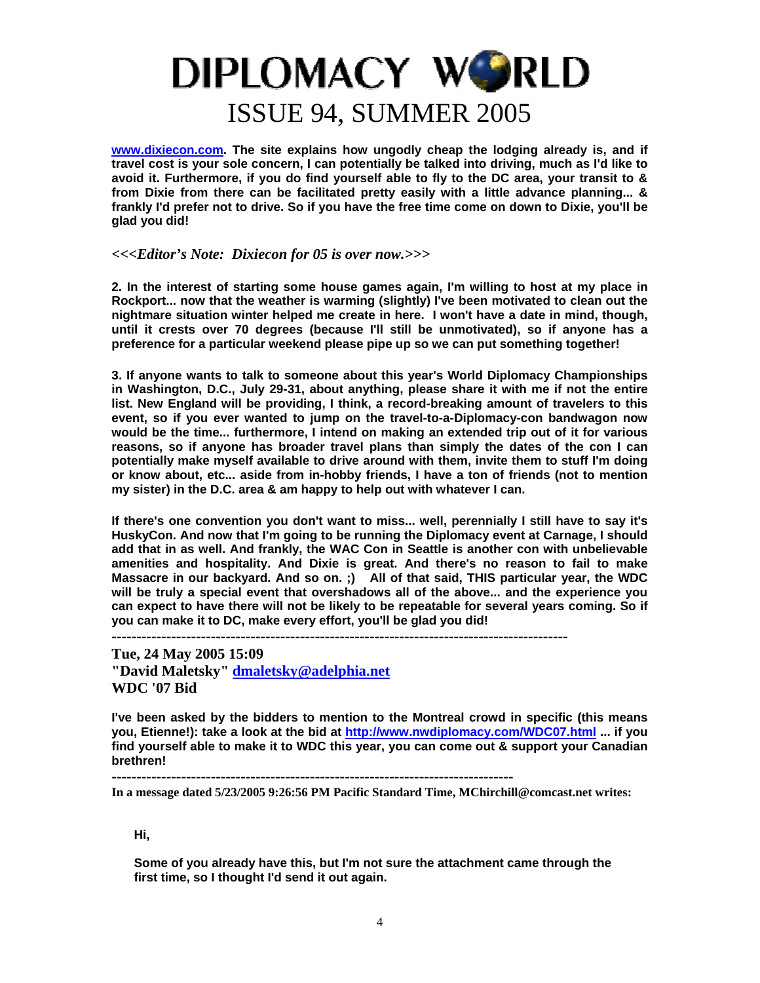**[www.dixiecon.com](http://www.dixiecon.com/). The site explains how ungodly cheap the lodging already is, and if travel cost is your sole concern, I can potentially be talked into driving, much as I'd like to avoid it. Furthermore, if you do find yourself able to fly to the DC area, your transit to & from Dixie from there can be facilitated pretty easily with a little advance planning... & frankly I'd prefer not to drive. So if you have the free time come on down to Dixie, you'll be glad you did!** 

#### *<<<Editor's Note: Dixiecon for 05 is over now.>>>*

**2. In the interest of starting some house games again, I'm willing to host at my place in Rockport... now that the weather is warming (slightly) I've been motivated to clean out the nightmare situation winter helped me create in here. I won't have a date in mind, though, until it crests over 70 degrees (because I'll still be unmotivated), so if anyone has a preference for a particular weekend please pipe up so we can put something together!** 

**3. If anyone wants to talk to someone about this year's World Diplomacy Championships in Washington, D.C., July 29-31, about anything, please share it with me if not the entire list. New England will be providing, I think, a record-breaking amount of travelers to this event, so if you ever wanted to jump on the travel-to-a-Diplomacy-con bandwagon now would be the time... furthermore, I intend on making an extended trip out of it for various reasons, so if anyone has broader travel plans than simply the dates of the con I can potentially make myself available to drive around with them, invite them to stuff I'm doing or know about, etc... aside from in-hobby friends, I have a ton of friends (not to mention my sister) in the D.C. area & am happy to help out with whatever I can.** 

**If there's one convention you don't want to miss... well, perennially I still have to say it's HuskyCon. And now that I'm going to be running the Diplomacy event at Carnage, I should add that in as well. And frankly, the WAC Con in Seattle is another con with unbelievable amenities and hospitality. And Dixie is great. And there's no reason to fail to make Massacre in our backyard. And so on. ;) All of that said, THIS particular year, the WDC will be truly a special event that overshadows all of the above... and the experience you can expect to have there will not be likely to be repeatable for several years coming. So if you can make it to DC, make every effort, you'll be glad you did!** 

**--------------------------------------------------------------------------------------------** 

**Tue, 24 May 2005 15:09 "David Maletsky" [dmaletsky@adelphia.net](mailto:dmaletsky@adelphia.net) WDC '07 Bid**

**I've been asked by the bidders to mention to the Montreal crowd in specific (this means you, Etienne!): take a look at the bid at<http://www.nwdiplomacy.com/WDC07.html>... if you find yourself able to make it to WDC this year, you can come out & support your Canadian brethren!**

**---------------------------------------------------------------------------------** 

**In a message dated 5/23/2005 9:26:56 PM Pacific Standard Time, MChirchill@comcast.net writes:** 

**Hi,** 

**Some of you already have this, but I'm not sure the attachment came through the first time, so I thought I'd send it out again.**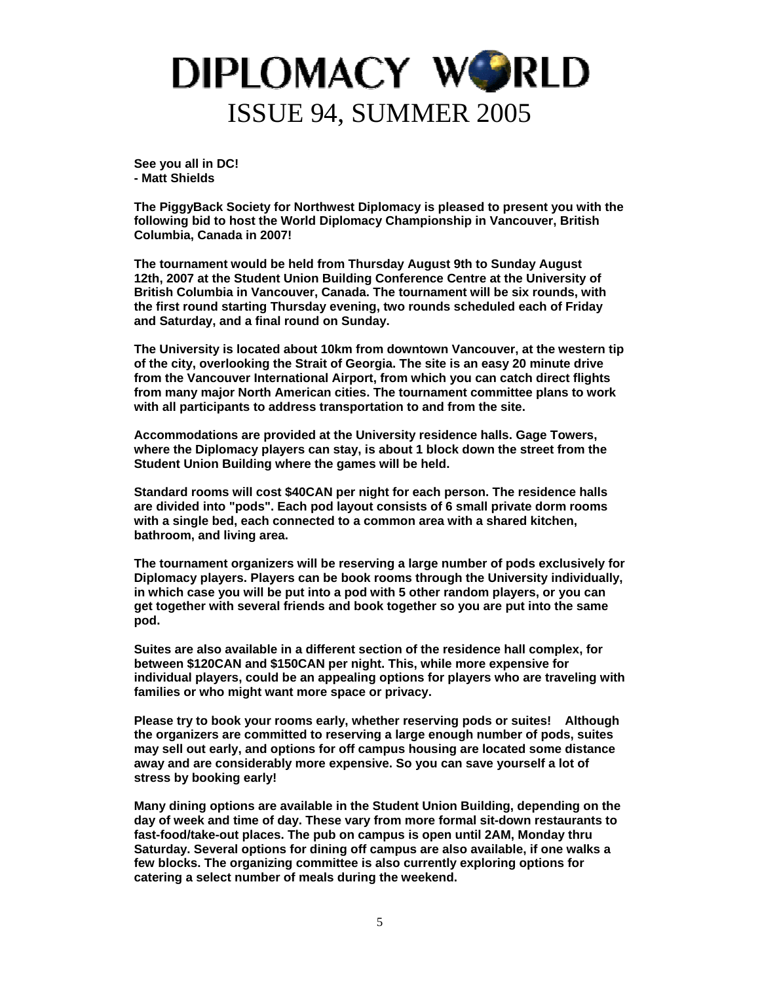**See you all in DC! - Matt Shields** 

**The PiggyBack Society for Northwest Diplomacy is pleased to present you with the following bid to host the World Diplomacy Championship in Vancouver, British Columbia, Canada in 2007!** 

**The tournament would be held from Thursday August 9th to Sunday August 12th, 2007 at the Student Union Building Conference Centre at the University of British Columbia in Vancouver, Canada. The tournament will be six rounds, with the first round starting Thursday evening, two rounds scheduled each of Friday and Saturday, and a final round on Sunday.** 

**The University is located about 10km from downtown Vancouver, at the western tip of the city, overlooking the Strait of Georgia. The site is an easy 20 minute drive from the Vancouver International Airport, from which you can catch direct flights from many major North American cities. The tournament committee plans to work with all participants to address transportation to and from the site.** 

**Accommodations are provided at the University residence halls. Gage Towers, where the Diplomacy players can stay, is about 1 block down the street from the Student Union Building where the games will be held.** 

**Standard rooms will cost \$40CAN per night for each person. The residence halls are divided into "pods". Each pod layout consists of 6 small private dorm rooms with a single bed, each connected to a common area with a shared kitchen, bathroom, and living area.** 

**The tournament organizers will be reserving a large number of pods exclusively for Diplomacy players. Players can be book rooms through the University individually, in which case you will be put into a pod with 5 other random players, or you can get together with several friends and book together so you are put into the same pod.** 

**Suites are also available in a different section of the residence hall complex, for between \$120CAN and \$150CAN per night. This, while more expensive for individual players, could be an appealing options for players who are traveling with families or who might want more space or privacy.** 

**Please try to book your rooms early, whether reserving pods or suites! Although the organizers are committed to reserving a large enough number of pods, suites may sell out early, and options for off campus housing are located some distance away and are considerably more expensive. So you can save yourself a lot of stress by booking early!** 

**Many dining options are available in the Student Union Building, depending on the day of week and time of day. These vary from more formal sit-down restaurants to fast-food/take-out places. The pub on campus is open until 2AM, Monday thru Saturday. Several options for dining off campus are also available, if one walks a few blocks. The organizing committee is also currently exploring options for catering a select number of meals during the weekend.**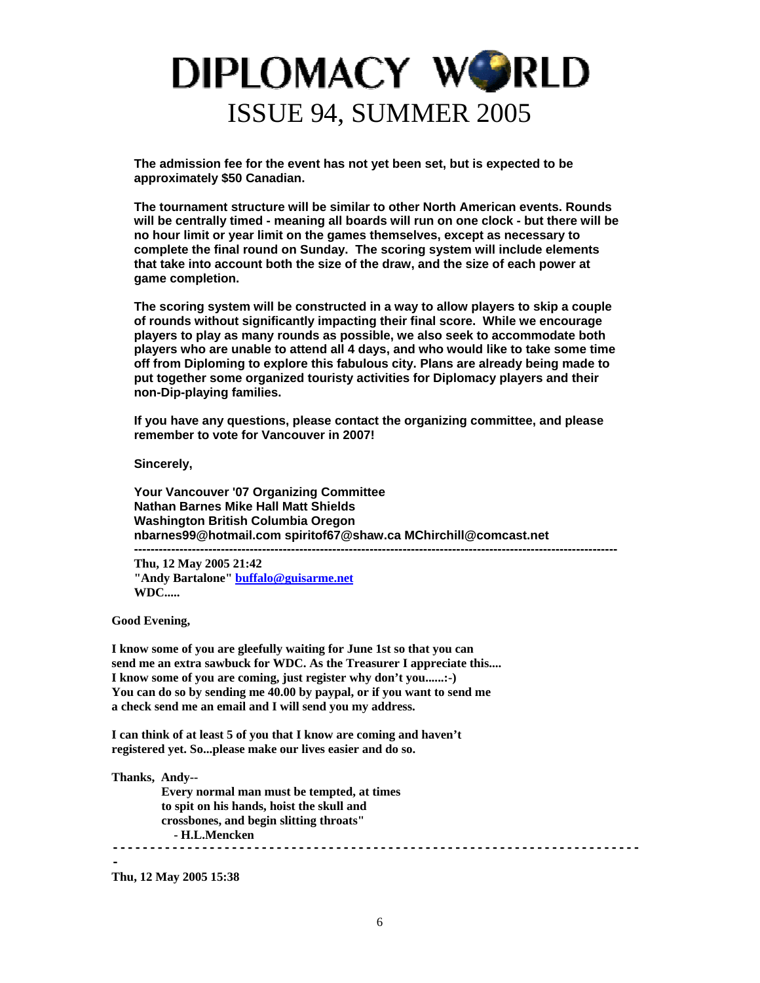**The admission fee for the event has not yet been set, but is expected to be approximately \$50 Canadian.** 

**The tournament structure will be similar to other North American events. Rounds will be centrally timed - meaning all boards will run on one clock - but there will be no hour limit or year limit on the games themselves, except as necessary to complete the final round on Sunday. The scoring system will include elements that take into account both the size of the draw, and the size of each power at game completion.** 

**The scoring system will be constructed in a way to allow players to skip a couple of rounds without significantly impacting their final score. While we encourage players to play as many rounds as possible, we also seek to accommodate both players who are unable to attend all 4 days, and who would like to take some time off from Diploming to explore this fabulous city. Plans are already being made to put together some organized touristy activities for Diplomacy players and their non-Dip-playing families.** 

**If you have any questions, please contact the organizing committee, and please remember to vote for Vancouver in 2007!** 

**---------------------------------------------------------------------------------------------------------------------** 

**Sincerely,** 

**Your Vancouver '07 Organizing Committee Nathan Barnes Mike Hall Matt Shields Washington British Columbia Oregon nbarnes99@hotmail.com spiritof67@shaw.ca MChirchill@comcast.net** 

**Thu, 12 May 2005 21:42 "Andy Bartalone" [buffalo@guisarme.net](mailto:buffalo@guisarme.net) WDC.....**

**Good Evening,** 

**I know some of you are gleefully waiting for June 1st so that you can send me an extra sawbuck for WDC. As the Treasurer I appreciate this.... I know some of you are coming, just register why don't you......:-) You can do so by sending me 40.00 by paypal, or if you want to send me a check send me an email and I will send you my address.** 

**I can think of at least 5 of you that I know are coming and haven't registered yet. So...please make our lives easier and do so.** 

**Thanks, Andy--** 

 **Every normal man must be tempted, at times to spit on his hands, hoist the skull and crossbones, and begin slitting throats" - H.L.Mencken -----------------------------------------------------------------------**

**-** 

**Thu, 12 May 2005 15:38**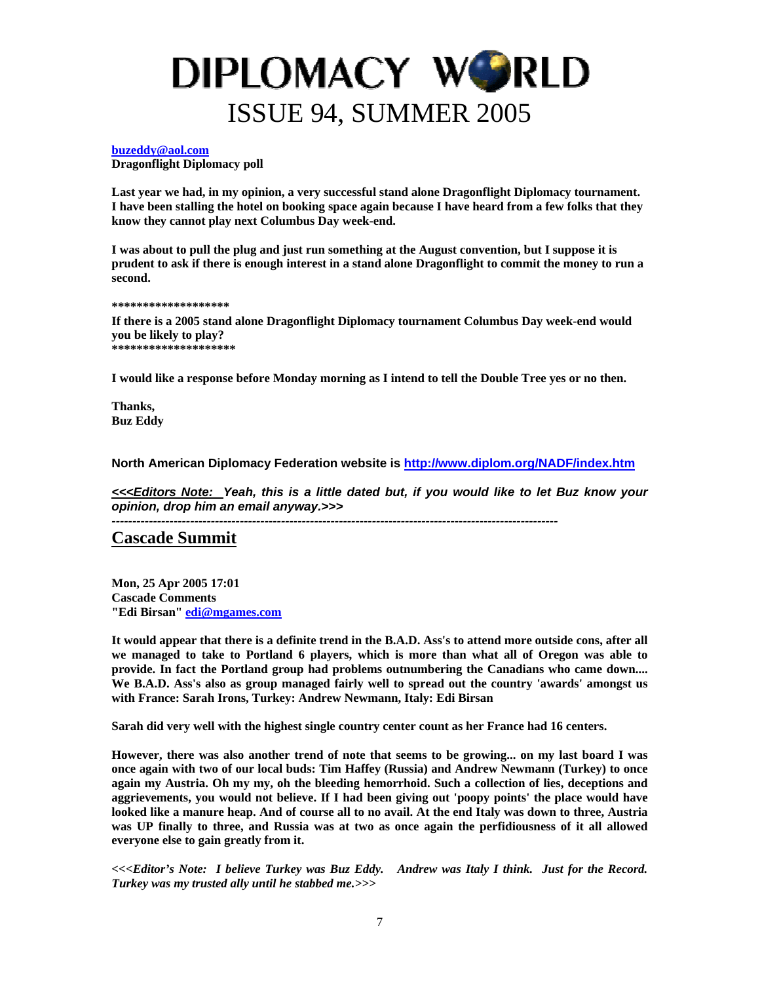#### <span id="page-6-0"></span>**[buzeddy@aol.com](mailto:buzeddy@aol.com)**

**Dragonflight Diplomacy poll** 

**Last year we had, in my opinion, a very successful stand alone Dragonflight Diplomacy tournament. I have been stalling the hotel on booking space again because I have heard from a few folks that they know they cannot play next Columbus Day week-end.** 

**I was about to pull the plug and just run something at the August convention, but I suppose it is prudent to ask if there is enough interest in a stand alone Dragonflight to commit the money to run a second.** 

#### **\*\*\*\*\*\*\*\*\*\*\*\*\*\*\*\*\*\*\***

**If there is a 2005 stand alone Dragonflight Diplomacy tournament Columbus Day week-end would you be likely to play? \*\*\*\*\*\*\*\*\*\*\*\*\*\*\*\*\*\*\*\*** 

**I would like a response before Monday morning as I intend to tell the Double Tree yes or no then.** 

**Thanks, Buz Eddy** 

**North American Diplomacy Federation website is <http://www.diplom.org/NADF/index.htm>**

*<<<Editors Note: Yeah, this is a little dated but, if you would like to let Buz know your opinion, drop him an email anyway.>>>* 

*------------------------------------------------------------------------------------------------------------* 

### **Cascade Summit**

**Mon, 25 Apr 2005 17:01 Cascade Comments "Edi Birsan" [edi@mgames.com](mailto:edi@mgames.com)**

**It would appear that there is a definite trend in the B.A.D. Ass's to attend more outside cons, after all we managed to take to Portland 6 players, which is more than what all of Oregon was able to provide. In fact the Portland group had problems outnumbering the Canadians who came down.... We B.A.D. Ass's also as group managed fairly well to spread out the country 'awards' amongst us with France: Sarah Irons, Turkey: Andrew Newmann, Italy: Edi Birsan** 

**Sarah did very well with the highest single country center count as her France had 16 centers.** 

**However, there was also another trend of note that seems to be growing... on my last board I was once again with two of our local buds: Tim Haffey (Russia) and Andrew Newmann (Turkey) to once again my Austria. Oh my my, oh the bleeding hemorrhoid. Such a collection of lies, deceptions and aggrievements, you would not believe. If I had been giving out 'poopy points' the place would have looked like a manure heap. And of course all to no avail. At the end Italy was down to three, Austria was UP finally to three, and Russia was at two as once again the perfidiousness of it all allowed everyone else to gain greatly from it.** 

*<<<Editor's Note: I believe Turkey was Buz Eddy. Andrew was Italy I think. Just for the Record. Turkey was my trusted ally until he stabbed me.>>>*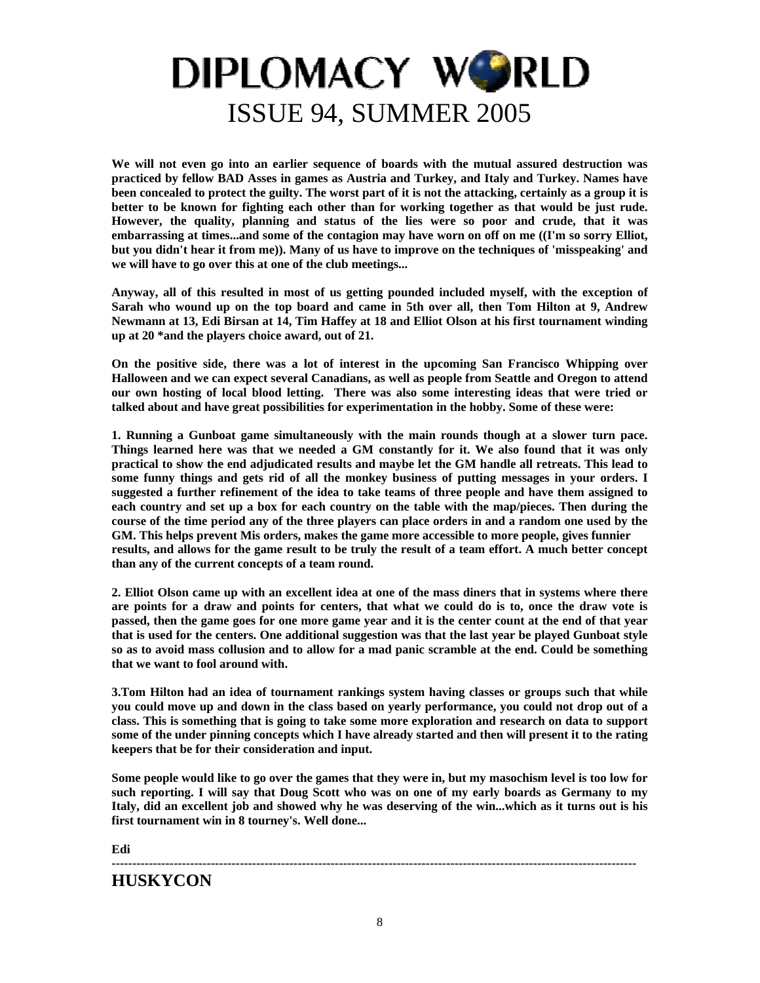**We will not even go into an earlier sequence of boards with the mutual assured destruction was practiced by fellow BAD Asses in games as Austria and Turkey, and Italy and Turkey. Names have been concealed to protect the guilty. The worst part of it is not the attacking, certainly as a group it is better to be known for fighting each other than for working together as that would be just rude. However, the quality, planning and status of the lies were so poor and crude, that it was embarrassing at times...and some of the contagion may have worn on off on me ((I'm so sorry Elliot, but you didn't hear it from me)). Many of us have to improve on the techniques of 'misspeaking' and we will have to go over this at one of the club meetings...** 

**Anyway, all of this resulted in most of us getting pounded included myself, with the exception of Sarah who wound up on the top board and came in 5th over all, then Tom Hilton at 9, Andrew Newmann at 13, Edi Birsan at 14, Tim Haffey at 18 and Elliot Olson at his first tournament winding up at 20 \*and the players choice award, out of 21.** 

**On the positive side, there was a lot of interest in the upcoming San Francisco Whipping over Halloween and we can expect several Canadians, as well as people from Seattle and Oregon to attend our own hosting of local blood letting. There was also some interesting ideas that were tried or talked about and have great possibilities for experimentation in the hobby. Some of these were:** 

**1. Running a Gunboat game simultaneously with the main rounds though at a slower turn pace. Things learned here was that we needed a GM constantly for it. We also found that it was only practical to show the end adjudicated results and maybe let the GM handle all retreats. This lead to some funny things and gets rid of all the monkey business of putting messages in your orders. I suggested a further refinement of the idea to take teams of three people and have them assigned to each country and set up a box for each country on the table with the map/pieces. Then during the course of the time period any of the three players can place orders in and a random one used by the GM. This helps prevent Mis orders, makes the game more accessible to more people, gives funnier results, and allows for the game result to be truly the result of a team effort. A much better concept than any of the current concepts of a team round.** 

**2. Elliot Olson came up with an excellent idea at one of the mass diners that in systems where there are points for a draw and points for centers, that what we could do is to, once the draw vote is passed, then the game goes for one more game year and it is the center count at the end of that year that is used for the centers. One additional suggestion was that the last year be played Gunboat style so as to avoid mass collusion and to allow for a mad panic scramble at the end. Could be something that we want to fool around with.** 

**3.Tom Hilton had an idea of tournament rankings system having classes or groups such that while you could move up and down in the class based on yearly performance, you could not drop out of a class. This is something that is going to take some more exploration and research on data to support some of the under pinning concepts which I have already started and then will present it to the rating keepers that be for their consideration and input.** 

**Some people would like to go over the games that they were in, but my masochism level is too low for such reporting. I will say that Doug Scott who was on one of my early boards as Germany to my Italy, did an excellent job and showed why he was deserving of the win...which as it turns out is his first tournament win in 8 tourney's. Well done...** 

**Edi** 

### **HUSKYCON**

**-------------------------------------------------------------------------------------------------------------------------------**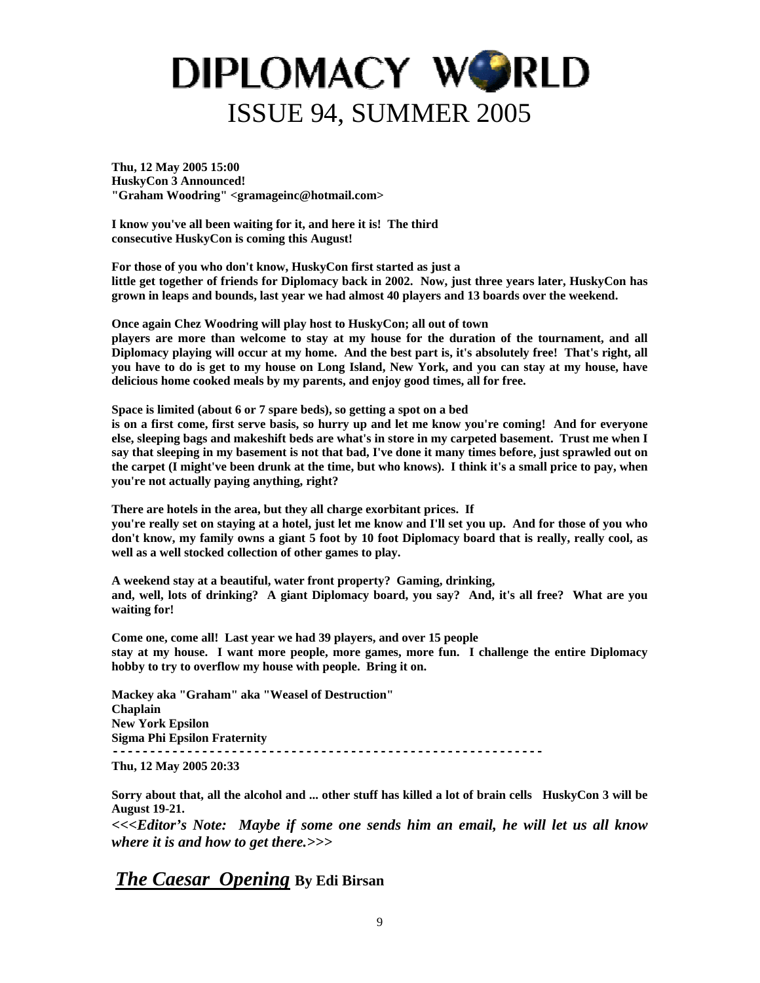<span id="page-8-0"></span>**Thu, 12 May 2005 15:00 HuskyCon 3 Announced! "Graham Woodring" <gramageinc@hotmail.com>** 

**I know you've all been waiting for it, and here it is! The third consecutive HuskyCon is coming this August!** 

**For those of you who don't know, HuskyCon first started as just a little get together of friends for Diplomacy back in 2002. Now, just three years later, HuskyCon has grown in leaps and bounds, last year we had almost 40 players and 13 boards over the weekend.** 

**Once again Chez Woodring will play host to HuskyCon; all out of town** 

**players are more than welcome to stay at my house for the duration of the tournament, and all Diplomacy playing will occur at my home. And the best part is, it's absolutely free! That's right, all you have to do is get to my house on Long Island, New York, and you can stay at my house, have delicious home cooked meals by my parents, and enjoy good times, all for free.** 

**Space is limited (about 6 or 7 spare beds), so getting a spot on a bed** 

**is on a first come, first serve basis, so hurry up and let me know you're coming! And for everyone else, sleeping bags and makeshift beds are what's in store in my carpeted basement. Trust me when I say that sleeping in my basement is not that bad, I've done it many times before, just sprawled out on the carpet (I might've been drunk at the time, but who knows). I think it's a small price to pay, when you're not actually paying anything, right?** 

**There are hotels in the area, but they all charge exorbitant prices. If you're really set on staying at a hotel, just let me know and I'll set you up. And for those of you who don't know, my family owns a giant 5 foot by 10 foot Diplomacy board that is really, really cool, as well as a well stocked collection of other games to play.** 

**A weekend stay at a beautiful, water front property? Gaming, drinking, and, well, lots of drinking? A giant Diplomacy board, you say? And, it's all free? What are you waiting for!** 

**Come one, come all! Last year we had 39 players, and over 15 people stay at my house. I want more people, more games, more fun. I challenge the entire Diplomacy hobby to try to overflow my house with people. Bring it on.** 

**Mackey aka "Graham" aka "Weasel of Destruction" Chaplain New York Epsilon Sigma Phi Epsilon Fraternity ----------------------------------------------------------** 

**Thu, 12 May 2005 20:33** 

**Sorry about that, all the alcohol and ... other stuff has killed a lot of brain cells HuskyCon 3 will be August 19-21.** 

*<<<Editor's Note: Maybe if some one sends him an email, he will let us all know where it is and how to get there.>>>* 

*The Caesar Opening* **By Edi Birsan**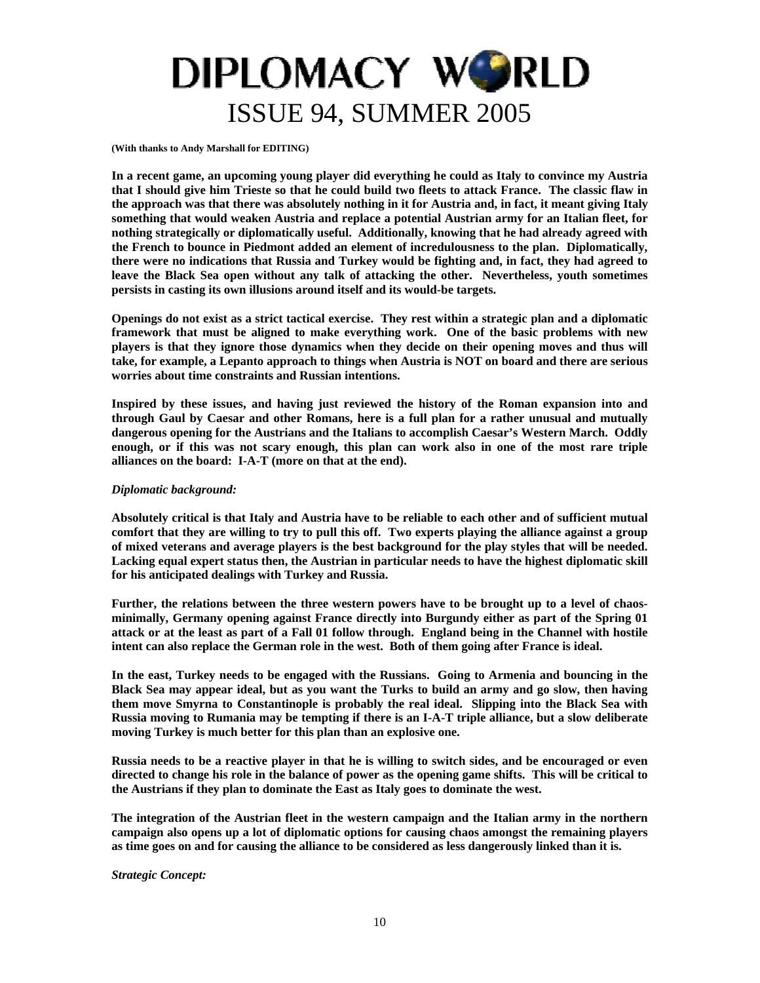<span id="page-9-0"></span>**(With thanks to Andy Marshall for EDITING)** 

**In a recent game, an upcoming young player did everything he could as Italy to convince my Austria that I should give him Trieste so that he could build two fleets to attack France. The classic flaw in the approach was that there was absolutely nothing in it for Austria and, in fact, it meant giving Italy something that would weaken Austria and replace a potential Austrian army for an Italian fleet, for nothing strategically or diplomatically useful. Additionally, knowing that he had already agreed with the French to bounce in Piedmont added an element of incredulousness to the plan. Diplomatically, there were no indications that Russia and Turkey would be fighting and, in fact, they had agreed to leave the Black Sea open without any talk of attacking the other. Nevertheless, youth sometimes persists in casting its own illusions around itself and its would-be targets.** 

**Openings do not exist as a strict tactical exercise. They rest within a strategic plan and a diplomatic framework that must be aligned to make everything work. One of the basic problems with new players is that they ignore those dynamics when they decide on their opening moves and thus will take, for example, a Lepanto approach to things when Austria is NOT on board and there are serious worries about time constraints and Russian intentions.** 

**Inspired by these issues, and having just reviewed the history of the Roman expansion into and through Gaul by Caesar and other Romans, here is a full plan for a rather unusual and mutually dangerous opening for the Austrians and the Italians to accomplish Caesar's Western March. Oddly enough, or if this was not scary enough, this plan can work also in one of the most rare triple alliances on the board: I-A-T (more on that at the end).** 

#### *Diplomatic background:*

**Absolutely critical is that Italy and Austria have to be reliable to each other and of sufficient mutual comfort that they are willing to try to pull this off. Two experts playing the alliance against a group of mixed veterans and average players is the best background for the play styles that will be needed. Lacking equal expert status then, the Austrian in particular needs to have the highest diplomatic skill for his anticipated dealings with Turkey and Russia.** 

**Further, the relations between the three western powers have to be brought up to a level of chaosminimally, Germany opening against France directly into Burgundy either as part of the Spring 01 attack or at the least as part of a Fall 01 follow through. England being in the Channel with hostile intent can also replace the German role in the west. Both of them going after France is ideal.** 

**In the east, Turkey needs to be engaged with the Russians. Going to Armenia and bouncing in the Black Sea may appear ideal, but as you want the Turks to build an army and go slow, then having them move Smyrna to Constantinople is probably the real ideal. Slipping into the Black Sea with Russia moving to Rumania may be tempting if there is an I-A-T triple alliance, but a slow deliberate moving Turkey is much better for this plan than an explosive one.** 

**Russia needs to be a reactive player in that he is willing to switch sides, and be encouraged or even directed to change his role in the balance of power as the opening game shifts. This will be critical to the Austrians if they plan to dominate the East as Italy goes to dominate the west.** 

**The integration of the Austrian fleet in the western campaign and the Italian army in the northern campaign also opens up a lot of diplomatic options for causing chaos amongst the remaining players as time goes on and for causing the alliance to be considered as less dangerously linked than it is.** 

*Strategic Concept:*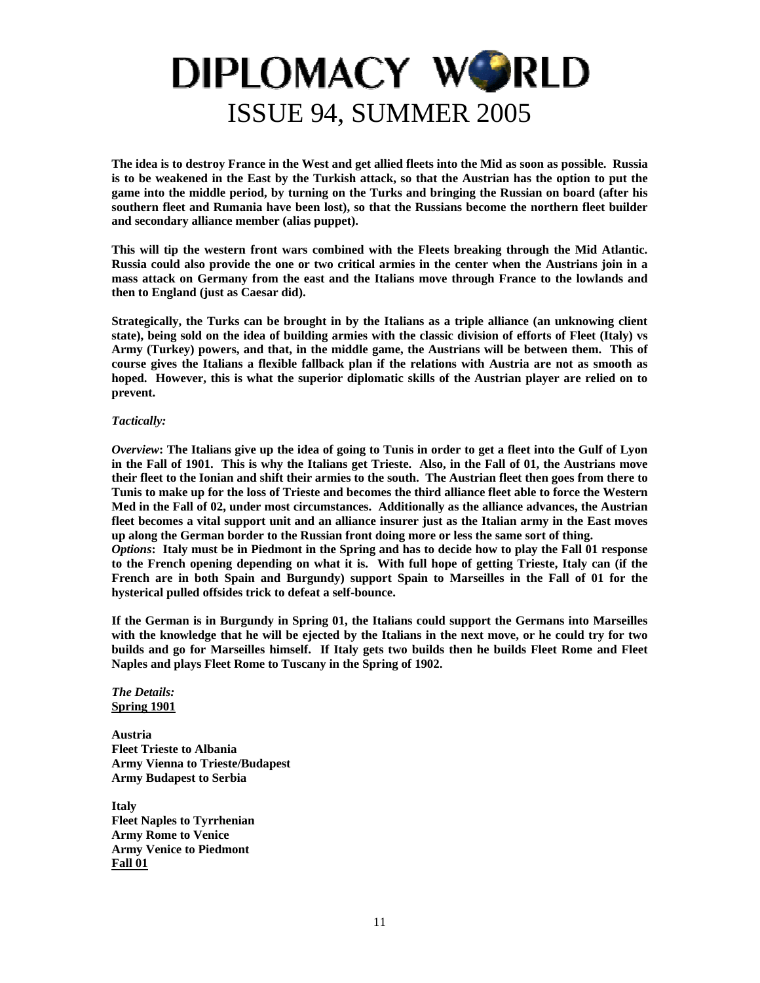**The idea is to destroy France in the West and get allied fleets into the Mid as soon as possible. Russia is to be weakened in the East by the Turkish attack, so that the Austrian has the option to put the game into the middle period, by turning on the Turks and bringing the Russian on board (after his southern fleet and Rumania have been lost), so that the Russians become the northern fleet builder and secondary alliance member (alias puppet).** 

**This will tip the western front wars combined with the Fleets breaking through the Mid Atlantic. Russia could also provide the one or two critical armies in the center when the Austrians join in a mass attack on Germany from the east and the Italians move through France to the lowlands and then to England (just as Caesar did).** 

**Strategically, the Turks can be brought in by the Italians as a triple alliance (an unknowing client state), being sold on the idea of building armies with the classic division of efforts of Fleet (Italy) vs Army (Turkey) powers, and that, in the middle game, the Austrians will be between them. This of course gives the Italians a flexible fallback plan if the relations with Austria are not as smooth as hoped. However, this is what the superior diplomatic skills of the Austrian player are relied on to prevent.** 

#### *Tactically:*

*Overview***: The Italians give up the idea of going to Tunis in order to get a fleet into the Gulf of Lyon in the Fall of 1901. This is why the Italians get Trieste. Also, in the Fall of 01, the Austrians move their fleet to the Ionian and shift their armies to the south. The Austrian fleet then goes from there to Tunis to make up for the loss of Trieste and becomes the third alliance fleet able to force the Western Med in the Fall of 02, under most circumstances. Additionally as the alliance advances, the Austrian fleet becomes a vital support unit and an alliance insurer just as the Italian army in the East moves up along the German border to the Russian front doing more or less the same sort of thing.**  *Options***: Italy must be in Piedmont in the Spring and has to decide how to play the Fall 01 response** 

**to the French opening depending on what it is. With full hope of getting Trieste, Italy can (if the French are in both Spain and Burgundy) support Spain to Marseilles in the Fall of 01 for the hysterical pulled offsides trick to defeat a self-bounce.** 

**If the German is in Burgundy in Spring 01, the Italians could support the Germans into Marseilles with the knowledge that he will be ejected by the Italians in the next move, or he could try for two builds and go for Marseilles himself. If Italy gets two builds then he builds Fleet Rome and Fleet Naples and plays Fleet Rome to Tuscany in the Spring of 1902.** 

#### *The Details:* **Spring 1901**

**Austria Fleet Trieste to Albania Army Vienna to Trieste/Budapest Army Budapest to Serbia** 

**Italy Fleet Naples to Tyrrhenian Army Rome to Venice Army Venice to Piedmont Fall 01**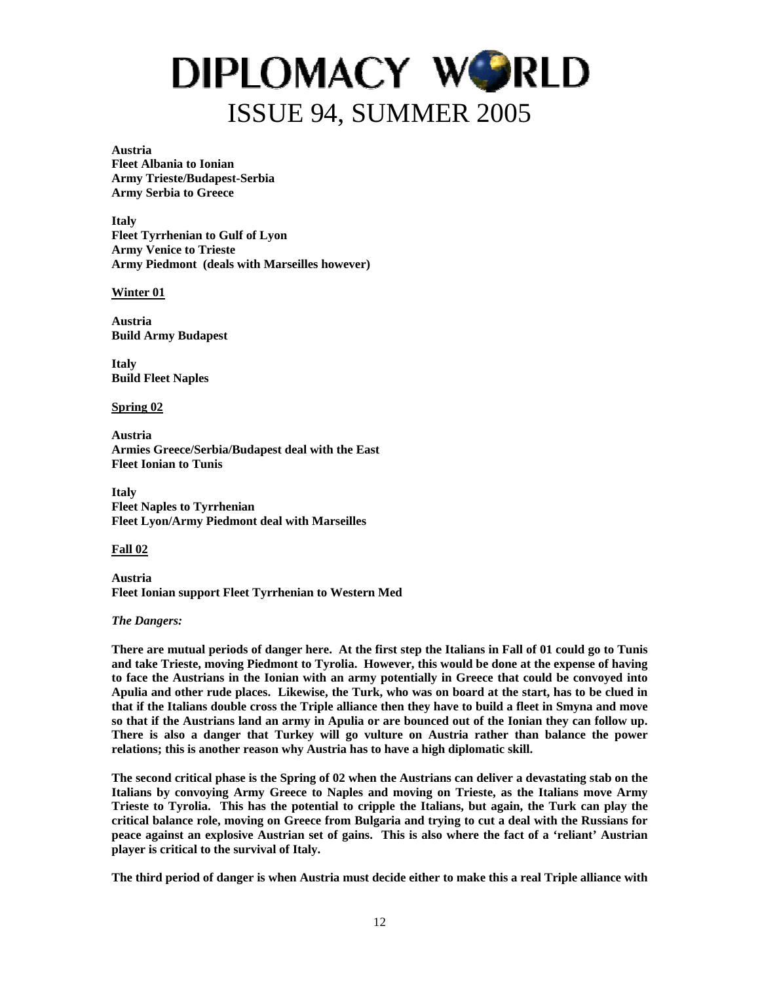#### **Austria**

**Fleet Albania to Ionian Army Trieste/Budapest-Serbia Army Serbia to Greece** 

**Italy Fleet Tyrrhenian to Gulf of Lyon Army Venice to Trieste Army Piedmont (deals with Marseilles however)** 

#### **Winter 01**

**Austria Build Army Budapest** 

**Italy Build Fleet Naples** 

#### **Spring 02**

**Austria Armies Greece/Serbia/Budapest deal with the East Fleet Ionian to Tunis** 

**Italy Fleet Naples to Tyrrhenian Fleet Lyon/Army Piedmont deal with Marseilles** 

#### **Fall 02**

**Austria Fleet Ionian support Fleet Tyrrhenian to Western Med** 

#### *The Dangers:*

**There are mutual periods of danger here. At the first step the Italians in Fall of 01 could go to Tunis and take Trieste, moving Piedmont to Tyrolia. However, this would be done at the expense of having to face the Austrians in the Ionian with an army potentially in Greece that could be convoyed into Apulia and other rude places. Likewise, the Turk, who was on board at the start, has to be clued in that if the Italians double cross the Triple alliance then they have to build a fleet in Smyna and move so that if the Austrians land an army in Apulia or are bounced out of the Ionian they can follow up. There is also a danger that Turkey will go vulture on Austria rather than balance the power relations; this is another reason why Austria has to have a high diplomatic skill.** 

**The second critical phase is the Spring of 02 when the Austrians can deliver a devastating stab on the Italians by convoying Army Greece to Naples and moving on Trieste, as the Italians move Army Trieste to Tyrolia. This has the potential to cripple the Italians, but again, the Turk can play the critical balance role, moving on Greece from Bulgaria and trying to cut a deal with the Russians for peace against an explosive Austrian set of gains. This is also where the fact of a 'reliant' Austrian player is critical to the survival of Italy.** 

**The third period of danger is when Austria must decide either to make this a real Triple alliance with**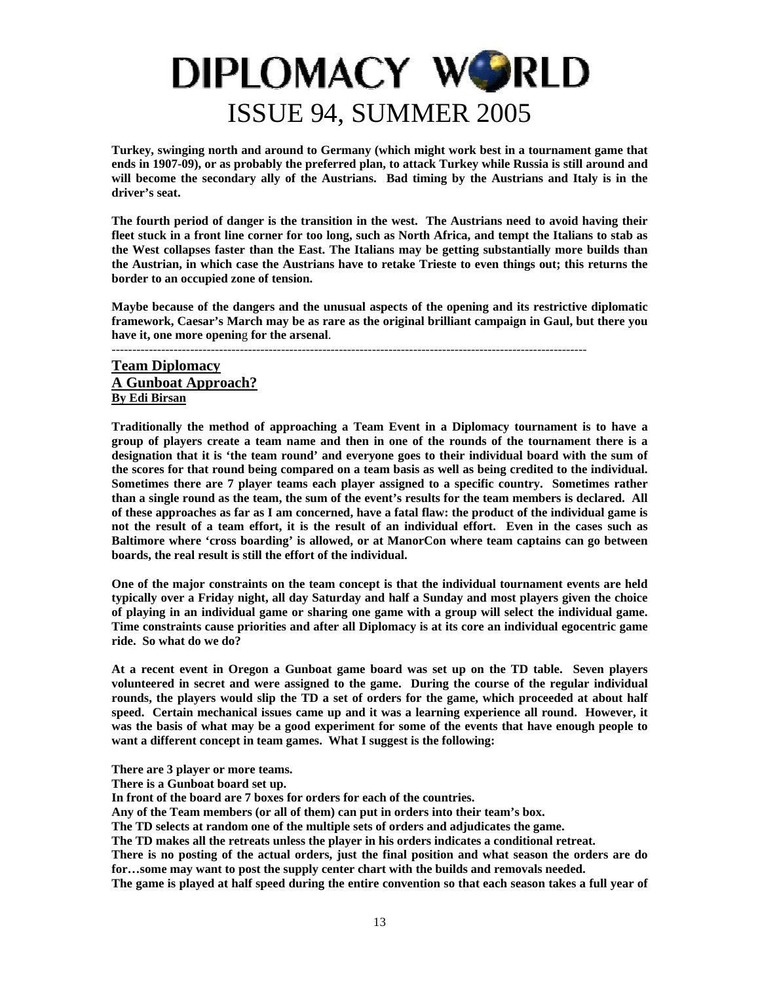<span id="page-12-0"></span>**Turkey, swinging north and around to Germany (which might work best in a tournament game that ends in 1907-09), or as probably the preferred plan, to attack Turkey while Russia is still around and will become the secondary ally of the Austrians. Bad timing by the Austrians and Italy is in the driver's seat.** 

**The fourth period of danger is the transition in the west. The Austrians need to avoid having their fleet stuck in a front line corner for too long, such as North Africa, and tempt the Italians to stab as the West collapses faster than the East. The Italians may be getting substantially more builds than the Austrian, in which case the Austrians have to retake Trieste to even things out; this returns the border to an occupied zone of tension.** 

**Maybe because of the dangers and the unusual aspects of the opening and its restrictive diplomatic framework, Caesar's March may be as rare as the original brilliant campaign in Gaul, but there you have it, one more openin**g **for the arsenal**.

#### -------------------------------------------------------------------------------------------------------------------

### **Team Diplomacy A Gunboat Approach? By Edi Birsan**

**Traditionally the method of approaching a Team Event in a Diplomacy tournament is to have a group of players create a team name and then in one of the rounds of the tournament there is a designation that it is 'the team round' and everyone goes to their individual board with the sum of the scores for that round being compared on a team basis as well as being credited to the individual. Sometimes there are 7 player teams each player assigned to a specific country. Sometimes rather than a single round as the team, the sum of the event's results for the team members is declared. All of these approaches as far as I am concerned, have a fatal flaw: the product of the individual game is not the result of a team effort, it is the result of an individual effort. Even in the cases such as Baltimore where 'cross boarding' is allowed, or at ManorCon where team captains can go between boards, the real result is still the effort of the individual.** 

**One of the major constraints on the team concept is that the individual tournament events are held typically over a Friday night, all day Saturday and half a Sunday and most players given the choice of playing in an individual game or sharing one game with a group will select the individual game. Time constraints cause priorities and after all Diplomacy is at its core an individual egocentric game ride. So what do we do?** 

**At a recent event in Oregon a Gunboat game board was set up on the TD table. Seven players volunteered in secret and were assigned to the game. During the course of the regular individual rounds, the players would slip the TD a set of orders for the game, which proceeded at about half speed. Certain mechanical issues came up and it was a learning experience all round. However, it was the basis of what may be a good experiment for some of the events that have enough people to want a different concept in team games. What I suggest is the following:** 

**There are 3 player or more teams.** 

**There is a Gunboat board set up.** 

**In front of the board are 7 boxes for orders for each of the countries.** 

**Any of the Team members (or all of them) can put in orders into their team's box.** 

**The TD selects at random one of the multiple sets of orders and adjudicates the game.** 

**The TD makes all the retreats unless the player in his orders indicates a conditional retreat.** 

**There is no posting of the actual orders, just the final position and what season the orders are do for…some may want to post the supply center chart with the builds and removals needed.** 

**The game is played at half speed during the entire convention so that each season takes a full year of**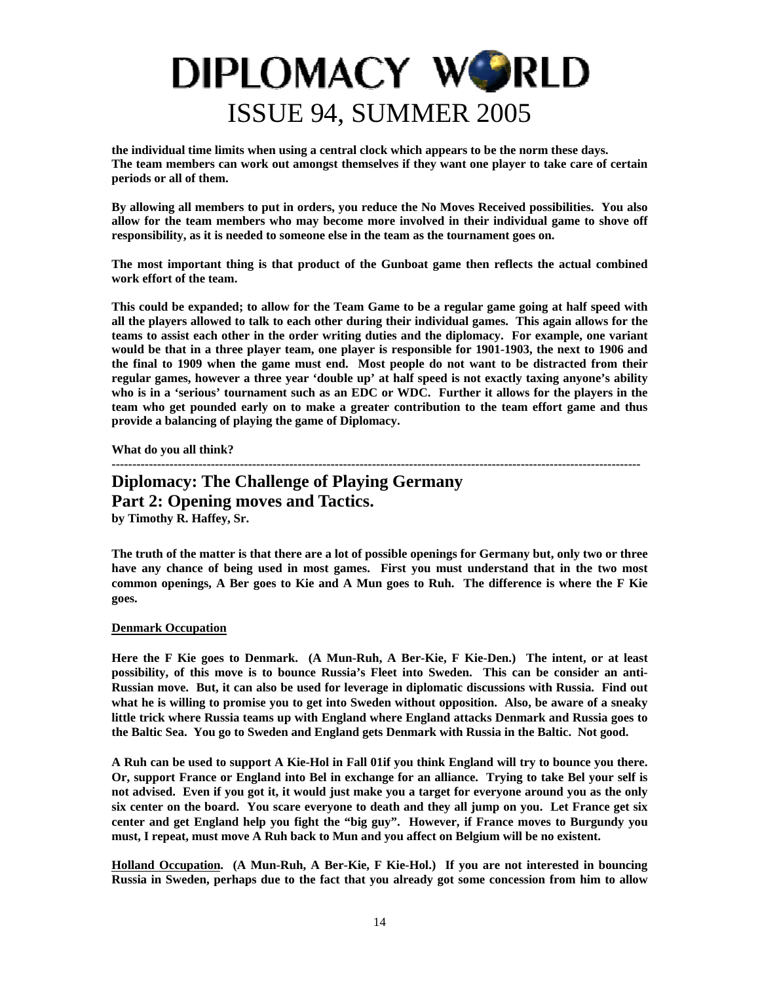<span id="page-13-0"></span>**the individual time limits when using a central clock which appears to be the norm these days. The team members can work out amongst themselves if they want one player to take care of certain periods or all of them.** 

**By allowing all members to put in orders, you reduce the No Moves Received possibilities. You also allow for the team members who may become more involved in their individual game to shove off responsibility, as it is needed to someone else in the team as the tournament goes on.** 

**The most important thing is that product of the Gunboat game then reflects the actual combined work effort of the team.** 

**This could be expanded; to allow for the Team Game to be a regular game going at half speed with all the players allowed to talk to each other during their individual games. This again allows for the teams to assist each other in the order writing duties and the diplomacy. For example, one variant would be that in a three player team, one player is responsible for 1901-1903, the next to 1906 and the final to 1909 when the game must end. Most people do not want to be distracted from their regular games, however a three year 'double up' at half speed is not exactly taxing anyone's ability who is in a 'serious' tournament such as an EDC or WDC. Further it allows for the players in the team who get pounded early on to make a greater contribution to the team effort game and thus provide a balancing of playing the game of Diplomacy.** 

**What do you all think?** 

### **-------------------------------------------------------------------------------------------------------------------------------- Diplomacy: The Challenge of Playing Germany Part 2: Opening moves and Tactics.**

**by Timothy R. Haffey, Sr.** 

**The truth of the matter is that there are a lot of possible openings for Germany but, only two or three have any chance of being used in most games. First you must understand that in the two most common openings, A Ber goes to Kie and A Mun goes to Ruh. The difference is where the F Kie goes.** 

### **Denmark Occupation**

**Here the F Kie goes to Denmark. (A Mun-Ruh, A Ber-Kie, F Kie-Den.) The intent, or at least possibility, of this move is to bounce Russia's Fleet into Sweden. This can be consider an anti-Russian move. But, it can also be used for leverage in diplomatic discussions with Russia. Find out what he is willing to promise you to get into Sweden without opposition. Also, be aware of a sneaky little trick where Russia teams up with England where England attacks Denmark and Russia goes to the Baltic Sea. You go to Sweden and England gets Denmark with Russia in the Baltic. Not good.** 

**A Ruh can be used to support A Kie-Hol in Fall 01if you think England will try to bounce you there. Or, support France or England into Bel in exchange for an alliance. Trying to take Bel your self is not advised. Even if you got it, it would just make you a target for everyone around you as the only six center on the board. You scare everyone to death and they all jump on you. Let France get six center and get England help you fight the "big guy". However, if France moves to Burgundy you must, I repeat, must move A Ruh back to Mun and you affect on Belgium will be no existent.** 

**Holland Occupation. (A Mun-Ruh, A Ber-Kie, F Kie-Hol.) If you are not interested in bouncing Russia in Sweden, perhaps due to the fact that you already got some concession from him to allow**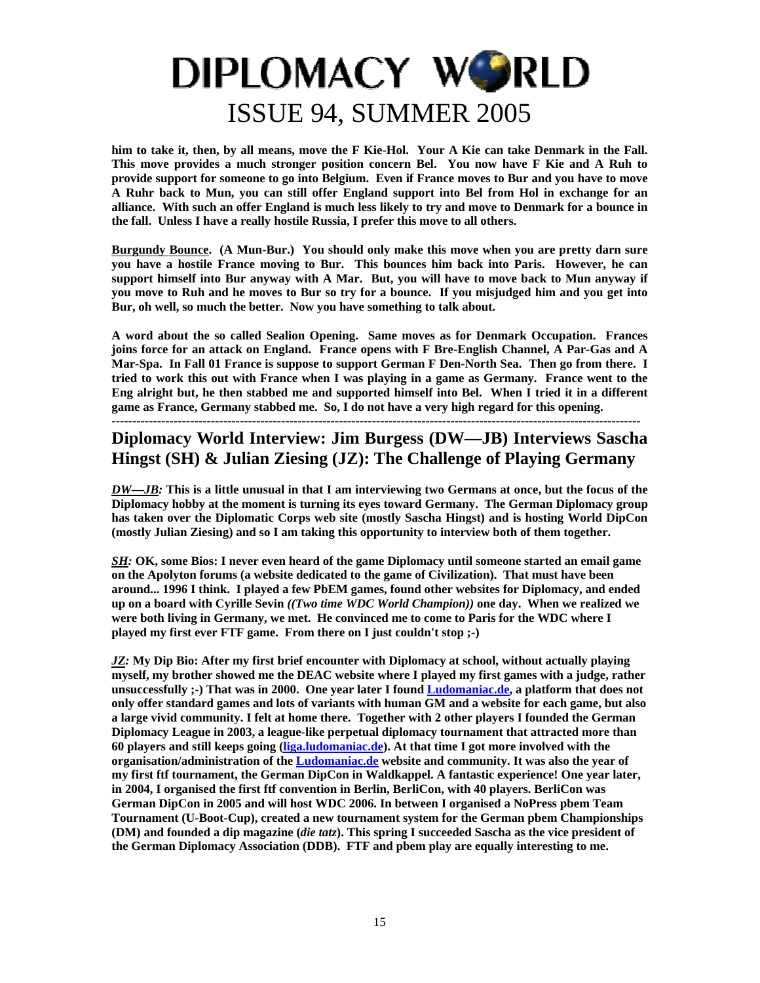**him to take it, then, by all means, move the F Kie-Hol. Your A Kie can take Denmark in the Fall. This move provides a much stronger position concern Bel. You now have F Kie and A Ruh to provide support for someone to go into Belgium. Even if France moves to Bur and you have to move A Ruhr back to Mun, you can still offer England support into Bel from Hol in exchange for an alliance. With such an offer England is much less likely to try and move to Denmark for a bounce in the fall. Unless I have a really hostile Russia, I prefer this move to all others.** 

**Burgundy Bounce. (A Mun-Bur.) You should only make this move when you are pretty darn sure you have a hostile France moving to Bur. This bounces him back into Paris. However, he can support himself into Bur anyway with A Mar. But, you will have to move back to Mun anyway if you move to Ruh and he moves to Bur so try for a bounce. If you misjudged him and you get into Bur, oh well, so much the better. Now you have something to talk about.** 

**A word about the so called Sealion Opening. Same moves as for Denmark Occupation. Frances joins force for an attack on England. France opens with F Bre-English Channel, A Par-Gas and A Mar-Spa. In Fall 01 France is suppose to support German F Den-North Sea. Then go from there. I tried to work this out with France when I was playing in a game as Germany. France went to the Eng alright but, he then stabbed me and supported himself into Bel. When I tried it in a different game as France, Germany stabbed me. So, I do not have a very high regard for this opening.**

**--------------------------------------------------------------------------------------------------------------------------------** 

### **Diplomacy World Interview: Jim Burgess (DW—JB) Interviews Sascha Hingst (SH) & Julian Ziesing (JZ): The Challenge of Playing Germany**

*DW—JB:* **This is a little unusual in that I am interviewing two Germans at once, but the focus of the Diplomacy hobby at the moment is turning its eyes toward Germany. The German Diplomacy group has taken over the Diplomatic Corps web site (mostly Sascha Hingst) and is hosting World DipCon (mostly Julian Ziesing) and so I am taking this opportunity to interview both of them together.** 

*SH:* **OK, some Bios: I never even heard of the game Diplomacy until someone started an email game on the Apolyton forums (a website dedicated to the game of Civilization). That must have been around... 1996 I think. I played a few PbEM games, found other websites for Diplomacy, and ended up on a board with Cyrille Sevin** *((Two time WDC World Champion))* **one day. When we realized we were both living in Germany, we met. He convinced me to come to Paris for the WDC where I played my first ever FTF game. From there on I just couldn't stop ;-)** 

*JZ:* **My Dip Bio: After my first brief encounter with Diplomacy at school, without actually playing myself, my brother showed me the DEAC website where I played my first games with a judge, rather unsuccessfully ;-) That was in 2000. One year later I found [Ludomaniac.de,](http://ludomaniac.de/) a platform that does not only offer standard games and lots of variants with human GM and a website for each game, but also a large vivid community. I felt at home there. Together with 2 other players I founded the German Diplomacy League in 2003, a league-like perpetual diplomacy tournament that attracted more than 60 players and still keeps going [\(liga.ludomaniac.de\)](http://liga.ludomaniac.de/). At that time I got more involved with the organisation/administration of the [Ludomaniac.de](http://ludomaniac.de/) website and community. It was also the year of my first ftf tournament, the German DipCon in Waldkappel. A fantastic experience! One year later, in 2004, I organised the first ftf convention in Berlin, BerliCon, with 40 players. BerliCon was German DipCon in 2005 and will host WDC 2006. In between I organised a NoPress pbem Team Tournament (U-Boot-Cup), created a new tournament system for the German pbem Championships (DM) and founded a dip magazine (***die tatz***). This spring I succeeded Sascha as the vice president of the German Diplomacy Association (DDB). FTF and pbem play are equally interesting to me.**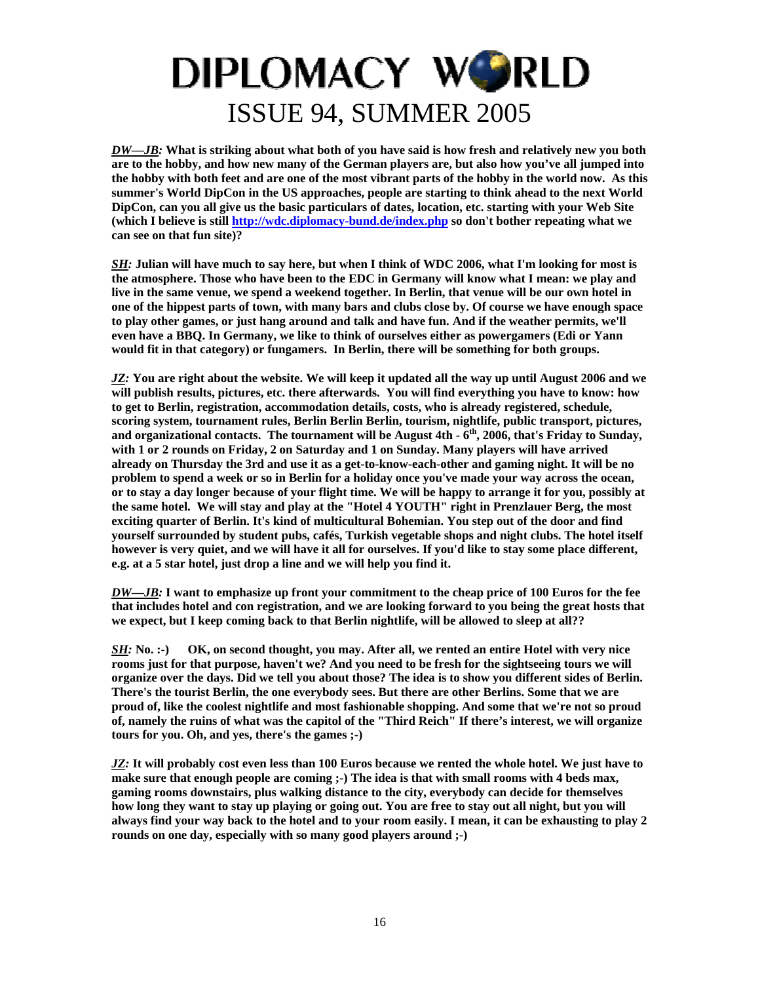*DW—JB:* **What is striking about what both of you have said is how fresh and relatively new you both are to the hobby, and how new many of the German players are, but also how you've all jumped into the hobby with both feet and are one of the most vibrant parts of the hobby in the world now. As this summer's World DipCon in the US approaches, people are starting to think ahead to the next World DipCon, can you all give us the basic particulars of dates, location, etc. starting with your Web Site (which I believe is still<http://wdc.diplomacy-bund.de/index.php> so don't bother repeating what we can see on that fun site)?** 

*SH:* **Julian will have much to say here, but when I think of WDC 2006, what I'm looking for most is the atmosphere. Those who have been to the EDC in Germany will know what I mean: we play and live in the same venue, we spend a weekend together. In Berlin, that venue will be our own hotel in one of the hippest parts of town, with many bars and clubs close by. Of course we have enough space to play other games, or just hang around and talk and have fun. And if the weather permits, we'll even have a BBQ. In Germany, we like to think of ourselves either as powergamers (Edi or Yann would fit in that category) or fungamers. In Berlin, there will be something for both groups.** 

*JZ:* **You are right about the website. We will keep it updated all the way up until August 2006 and we will publish results, pictures, etc. there afterwards. You will find everything you have to know: how to get to Berlin, registration, accommodation details, costs, who is already registered, schedule, scoring system, tournament rules, Berlin Berlin Berlin, tourism, nightlife, public transport, pictures, and organizational contacts. The tournament will be August 4th - 6th, 2006, that's Friday to Sunday, with 1 or 2 rounds on Friday, 2 on Saturday and 1 on Sunday. Many players will have arrived already on Thursday the 3rd and use it as a get-to-know-each-other and gaming night. It will be no problem to spend a week or so in Berlin for a holiday once you've made your way across the ocean, or to stay a day longer because of your flight time. We will be happy to arrange it for you, possibly at the same hotel. We will stay and play at the "Hotel 4 YOUTH" right in Prenzlauer Berg, the most exciting quarter of Berlin. It's kind of multicultural Bohemian. You step out of the door and find yourself surrounded by student pubs, cafés, Turkish vegetable shops and night clubs. The hotel itself however is very quiet, and we will have it all for ourselves. If you'd like to stay some place different, e.g. at a 5 star hotel, just drop a line and we will help you find it.** 

*DW—JB:* **I want to emphasize up front your commitment to the cheap price of 100 Euros for the fee that includes hotel and con registration, and we are looking forward to you being the great hosts that we expect, but I keep coming back to that Berlin nightlife, will be allowed to sleep at all??** 

*SH*: No. :-) OK, on second thought, you may. After all, we rented an entire Hotel with very nice **rooms just for that purpose, haven't we? And you need to be fresh for the sightseeing tours we will organize over the days. Did we tell you about those? The idea is to show you different sides of Berlin. There's the tourist Berlin, the one everybody sees. But there are other Berlins. Some that we are proud of, like the coolest nightlife and most fashionable shopping. And some that we're not so proud of, namely the ruins of what was the capitol of the "Third Reich" If there's interest, we will organize tours for you. Oh, and yes, there's the games ;-)** 

*JZ:* **It will probably cost even less than 100 Euros because we rented the whole hotel. We just have to**  make sure that enough people are coming ;-) The idea is that with small rooms with 4 beds max, **gaming rooms downstairs, plus walking distance to the city, everybody can decide for themselves how long they want to stay up playing or going out. You are free to stay out all night, but you will always find your way back to the hotel and to your room easily. I mean, it can be exhausting to play 2 rounds on one day, especially with so many good players around ;-)**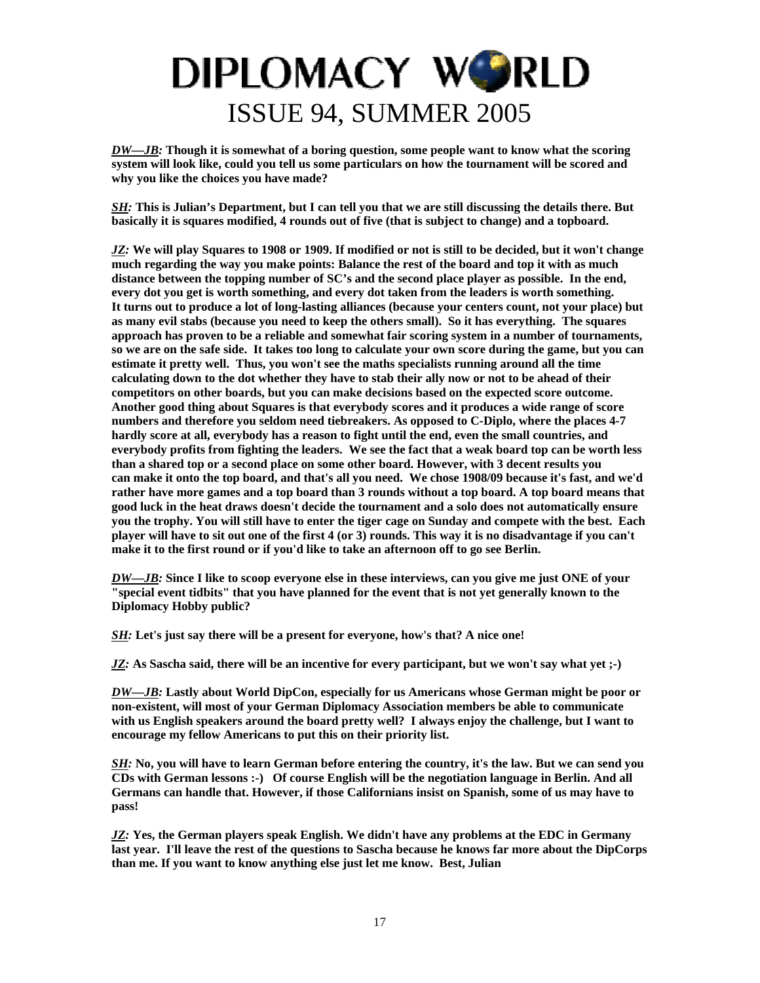*DW—JB:* **Though it is somewhat of a boring question, some people want to know what the scoring system will look like, could you tell us some particulars on how the tournament will be scored and why you like the choices you have made?** 

*SH:* **This is Julian's Department, but I can tell you that we are still discussing the details there. But basically it is squares modified, 4 rounds out of five (that is subject to change) and a topboard.** 

*JZ:* **We will play Squares to 1908 or 1909. If modified or not is still to be decided, but it won't change much regarding the way you make points: Balance the rest of the board and top it with as much distance between the topping number of SC's and the second place player as possible. In the end, every dot you get is worth something, and every dot taken from the leaders is worth something. It turns out to produce a lot of long-lasting alliances (because your centers count, not your place) but as many evil stabs (because you need to keep the others small). So it has everything. The squares approach has proven to be a reliable and somewhat fair scoring system in a number of tournaments, so we are on the safe side. It takes too long to calculate your own score during the game, but you can estimate it pretty well. Thus, you won't see the maths specialists running around all the time calculating down to the dot whether they have to stab their ally now or not to be ahead of their competitors on other boards, but you can make decisions based on the expected score outcome. Another good thing about Squares is that everybody scores and it produces a wide range of score numbers and therefore you seldom need tiebreakers. As opposed to C-Diplo, where the places 4-7 hardly score at all, everybody has a reason to fight until the end, even the small countries, and everybody profits from fighting the leaders. We see the fact that a weak board top can be worth less than a shared top or a second place on some other board. However, with 3 decent results you can make it onto the top board, and that's all you need. We chose 1908/09 because it's fast, and we'd rather have more games and a top board than 3 rounds without a top board. A top board means that good luck in the heat draws doesn't decide the tournament and a solo does not automatically ensure you the trophy. You will still have to enter the tiger cage on Sunday and compete with the best. Each player will have to sit out one of the first 4 (or 3) rounds. This way it is no disadvantage if you can't make it to the first round or if you'd like to take an afternoon off to go see Berlin.** 

*DW—JB:* **Since I like to scoop everyone else in these interviews, can you give me just ONE of your "special event tidbits" that you have planned for the event that is not yet generally known to the Diplomacy Hobby public?** 

*SH:* **Let's just say there will be a present for everyone, how's that? A nice one!** 

*JZ:* **As Sascha said, there will be an incentive for every participant, but we won't say what yet ;-)** 

*DW—JB:* **Lastly about World DipCon, especially for us Americans whose German might be poor or non-existent, will most of your German Diplomacy Association members be able to communicate with us English speakers around the board pretty well? I always enjoy the challenge, but I want to encourage my fellow Americans to put this on their priority list.** 

*SH:* **No, you will have to learn German before entering the country, it's the law. But we can send you CDs with German lessons :-) Of course English will be the negotiation language in Berlin. And all Germans can handle that. However, if those Californians insist on Spanish, some of us may have to pass!** 

*JZ:* **Yes, the German players speak English. We didn't have any problems at the EDC in Germany last year. I'll leave the rest of the questions to Sascha because he knows far more about the DipCorps than me. If you want to know anything else just let me know. Best, Julian**